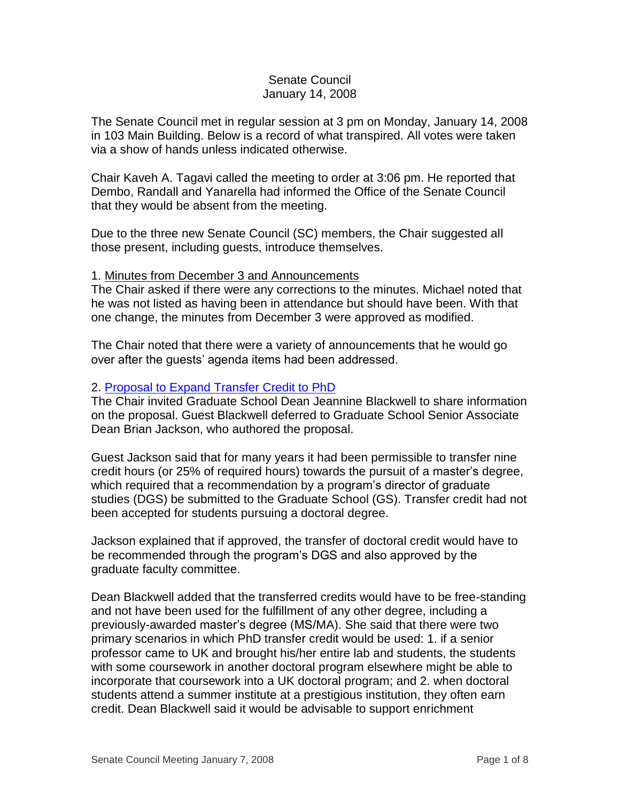## Senate Council January 14, 2008

The Senate Council met in regular session at 3 pm on Monday, January 14, 2008 in 103 Main Building. Below is a record of what transpired. All votes were taken via a show of hands unless indicated otherwise.

Chair Kaveh A. Tagavi called the meeting to order at 3:06 pm. He reported that Dembo, Randall and Yanarella had informed the Office of the Senate Council that they would be absent from the meeting.

Due to the three new Senate Council (SC) members, the Chair suggested all those present, including guests, introduce themselves.

### 1. Minutes from December 3 and Announcements

The Chair asked if there were any corrections to the minutes. Michael noted that he was not listed as having been in attendance but should have been. With that one change, the minutes from December 3 were approved as modified.

The Chair noted that there were a variety of announcements that he would go over after the guests' agenda items had been addressed.

# 2. [Proposal to Expand Transfer Credit to PhD](http://www.uky.edu/USC/New/files/20080114/Expand_Credit_Transfer_PhD_Complete.pdf)

The Chair invited Graduate School Dean Jeannine Blackwell to share information on the proposal. Guest Blackwell deferred to Graduate School Senior Associate Dean Brian Jackson, who authored the proposal.

Guest Jackson said that for many years it had been permissible to transfer nine credit hours (or 25% of required hours) towards the pursuit of a master's degree, which required that a recommendation by a program's director of graduate studies (DGS) be submitted to the Graduate School (GS). Transfer credit had not been accepted for students pursuing a doctoral degree.

Jackson explained that if approved, the transfer of doctoral credit would have to be recommended through the program's DGS and also approved by the graduate faculty committee.

Dean Blackwell added that the transferred credits would have to be free-standing and not have been used for the fulfillment of any other degree, including a previously-awarded master's degree (MS/MA). She said that there were two primary scenarios in which PhD transfer credit would be used: 1. if a senior professor came to UK and brought his/her entire lab and students, the students with some coursework in another doctoral program elsewhere might be able to incorporate that coursework into a UK doctoral program; and 2. when doctoral students attend a summer institute at a prestigious institution, they often earn credit. Dean Blackwell said it would be advisable to support enrichment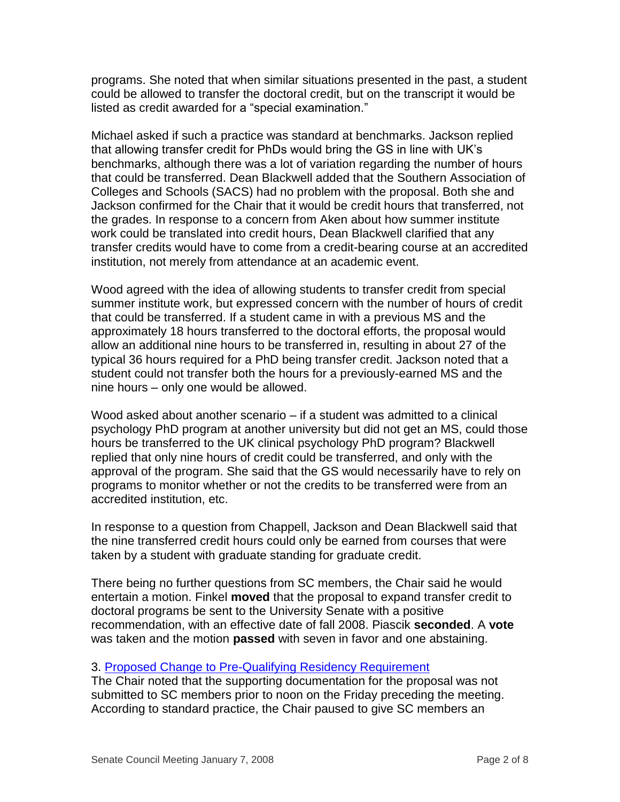programs. She noted that when similar situations presented in the past, a student could be allowed to transfer the doctoral credit, but on the transcript it would be listed as credit awarded for a "special examination."

Michael asked if such a practice was standard at benchmarks. Jackson replied that allowing transfer credit for PhDs would bring the GS in line with UK's benchmarks, although there was a lot of variation regarding the number of hours that could be transferred. Dean Blackwell added that the Southern Association of Colleges and Schools (SACS) had no problem with the proposal. Both she and Jackson confirmed for the Chair that it would be credit hours that transferred, not the grades. In response to a concern from Aken about how summer institute work could be translated into credit hours, Dean Blackwell clarified that any transfer credits would have to come from a credit-bearing course at an accredited institution, not merely from attendance at an academic event.

Wood agreed with the idea of allowing students to transfer credit from special summer institute work, but expressed concern with the number of hours of credit that could be transferred. If a student came in with a previous MS and the approximately 18 hours transferred to the doctoral efforts, the proposal would allow an additional nine hours to be transferred in, resulting in about 27 of the typical 36 hours required for a PhD being transfer credit. Jackson noted that a student could not transfer both the hours for a previously-earned MS and the nine hours – only one would be allowed.

Wood asked about another scenario – if a student was admitted to a clinical psychology PhD program at another university but did not get an MS, could those hours be transferred to the UK clinical psychology PhD program? Blackwell replied that only nine hours of credit could be transferred, and only with the approval of the program. She said that the GS would necessarily have to rely on programs to monitor whether or not the credits to be transferred were from an accredited institution, etc.

In response to a question from Chappell, Jackson and Dean Blackwell said that the nine transferred credit hours could only be earned from courses that were taken by a student with graduate standing for graduate credit.

There being no further questions from SC members, the Chair said he would entertain a motion. Finkel **moved** that the proposal to expand transfer credit to doctoral programs be sent to the University Senate with a positive recommendation, with an effective date of fall 2008. Piascik **seconded**. A **vote** was taken and the motion **passed** with seven in favor and one abstaining.

### 3. [Proposed Change to Pre-Qualifying](http://www.uky.edu/USC/New/files/20080114/Pre_Qual_Residency_Change_Complete.pdf) Residency Requirement

The Chair noted that the supporting documentation for the proposal was not submitted to SC members prior to noon on the Friday preceding the meeting. According to standard practice, the Chair paused to give SC members an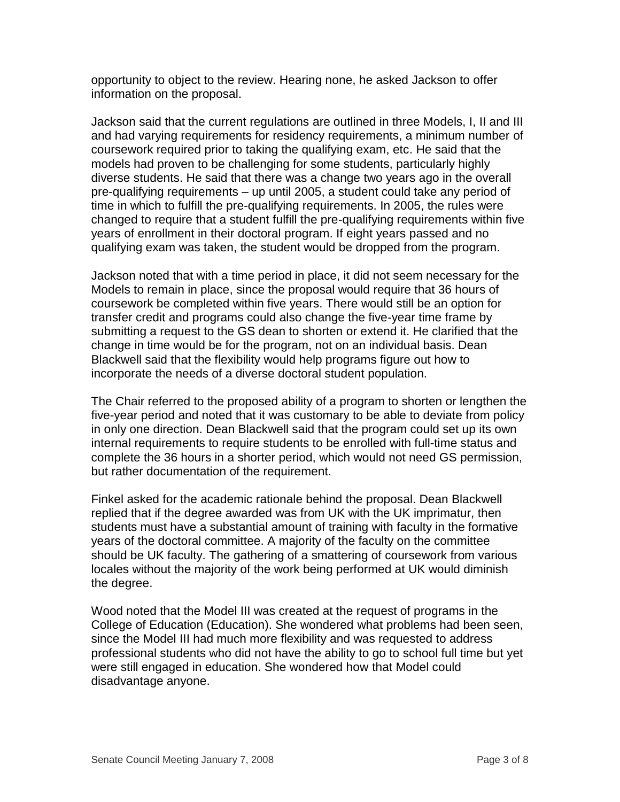opportunity to object to the review. Hearing none, he asked Jackson to offer information on the proposal.

Jackson said that the current regulations are outlined in three Models, I, II and III and had varying requirements for residency requirements, a minimum number of coursework required prior to taking the qualifying exam, etc. He said that the models had proven to be challenging for some students, particularly highly diverse students. He said that there was a change two years ago in the overall pre-qualifying requirements – up until 2005, a student could take any period of time in which to fulfill the pre-qualifying requirements. In 2005, the rules were changed to require that a student fulfill the pre-qualifying requirements within five years of enrollment in their doctoral program. If eight years passed and no qualifying exam was taken, the student would be dropped from the program.

Jackson noted that with a time period in place, it did not seem necessary for the Models to remain in place, since the proposal would require that 36 hours of coursework be completed within five years. There would still be an option for transfer credit and programs could also change the five-year time frame by submitting a request to the GS dean to shorten or extend it. He clarified that the change in time would be for the program, not on an individual basis. Dean Blackwell said that the flexibility would help programs figure out how to incorporate the needs of a diverse doctoral student population.

The Chair referred to the proposed ability of a program to shorten or lengthen the five-year period and noted that it was customary to be able to deviate from policy in only one direction. Dean Blackwell said that the program could set up its own internal requirements to require students to be enrolled with full-time status and complete the 36 hours in a shorter period, which would not need GS permission, but rather documentation of the requirement.

Finkel asked for the academic rationale behind the proposal. Dean Blackwell replied that if the degree awarded was from UK with the UK imprimatur, then students must have a substantial amount of training with faculty in the formative years of the doctoral committee. A majority of the faculty on the committee should be UK faculty. The gathering of a smattering of coursework from various locales without the majority of the work being performed at UK would diminish the degree.

Wood noted that the Model III was created at the request of programs in the College of Education (Education). She wondered what problems had been seen, since the Model III had much more flexibility and was requested to address professional students who did not have the ability to go to school full time but yet were still engaged in education. She wondered how that Model could disadvantage anyone.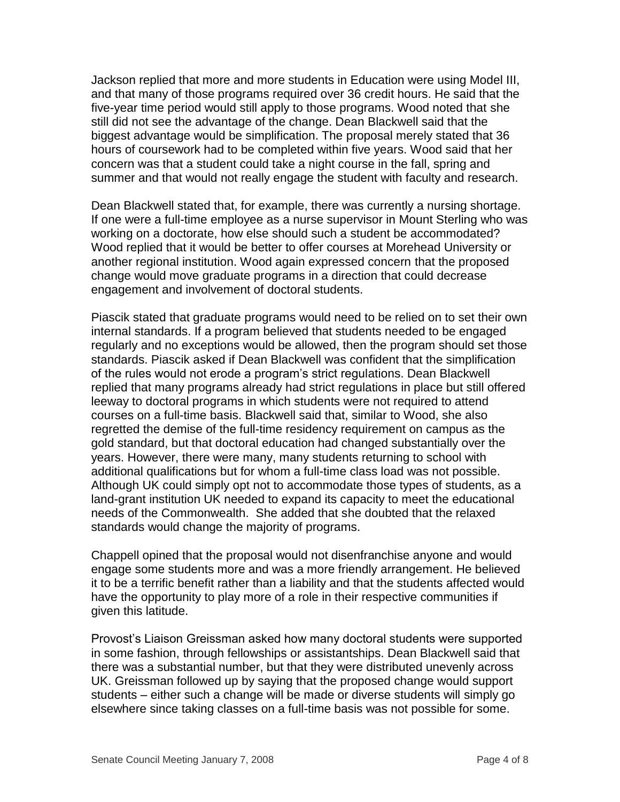Jackson replied that more and more students in Education were using Model III, and that many of those programs required over 36 credit hours. He said that the five-year time period would still apply to those programs. Wood noted that she still did not see the advantage of the change. Dean Blackwell said that the biggest advantage would be simplification. The proposal merely stated that 36 hours of coursework had to be completed within five years. Wood said that her concern was that a student could take a night course in the fall, spring and summer and that would not really engage the student with faculty and research.

Dean Blackwell stated that, for example, there was currently a nursing shortage. If one were a full-time employee as a nurse supervisor in Mount Sterling who was working on a doctorate, how else should such a student be accommodated? Wood replied that it would be better to offer courses at Morehead University or another regional institution. Wood again expressed concern that the proposed change would move graduate programs in a direction that could decrease engagement and involvement of doctoral students.

Piascik stated that graduate programs would need to be relied on to set their own internal standards. If a program believed that students needed to be engaged regularly and no exceptions would be allowed, then the program should set those standards. Piascik asked if Dean Blackwell was confident that the simplification of the rules would not erode a program's strict regulations. Dean Blackwell replied that many programs already had strict regulations in place but still offered leeway to doctoral programs in which students were not required to attend courses on a full-time basis. Blackwell said that, similar to Wood, she also regretted the demise of the full-time residency requirement on campus as the gold standard, but that doctoral education had changed substantially over the years. However, there were many, many students returning to school with additional qualifications but for whom a full-time class load was not possible. Although UK could simply opt not to accommodate those types of students, as a land-grant institution UK needed to expand its capacity to meet the educational needs of the Commonwealth. She added that she doubted that the relaxed standards would change the majority of programs.

Chappell opined that the proposal would not disenfranchise anyone and would engage some students more and was a more friendly arrangement. He believed it to be a terrific benefit rather than a liability and that the students affected would have the opportunity to play more of a role in their respective communities if given this latitude.

Provost's Liaison Greissman asked how many doctoral students were supported in some fashion, through fellowships or assistantships. Dean Blackwell said that there was a substantial number, but that they were distributed unevenly across UK. Greissman followed up by saying that the proposed change would support students – either such a change will be made or diverse students will simply go elsewhere since taking classes on a full-time basis was not possible for some.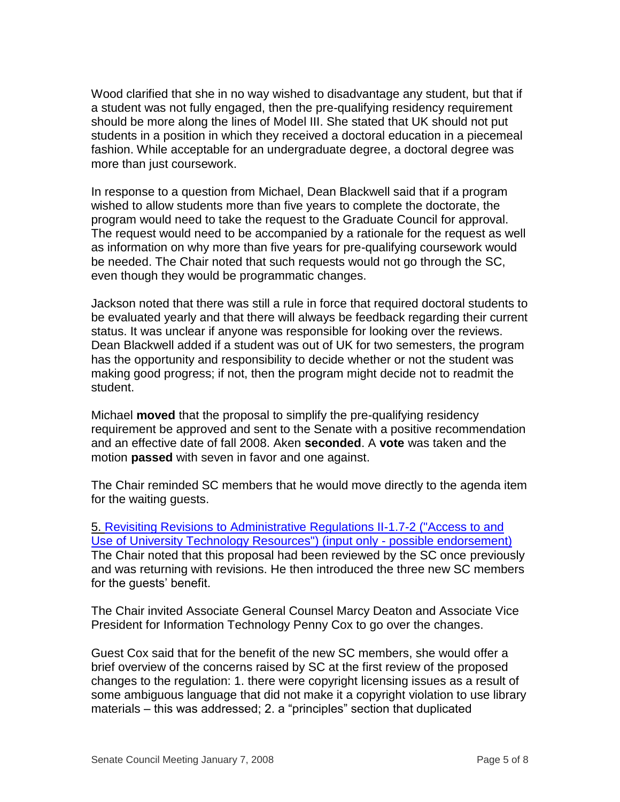Wood clarified that she in no way wished to disadvantage any student, but that if a student was not fully engaged, then the pre-qualifying residency requirement should be more along the lines of Model III. She stated that UK should not put students in a position in which they received a doctoral education in a piecemeal fashion. While acceptable for an undergraduate degree, a doctoral degree was more than just coursework.

In response to a question from Michael, Dean Blackwell said that if a program wished to allow students more than five years to complete the doctorate, the program would need to take the request to the Graduate Council for approval. The request would need to be accompanied by a rationale for the request as well as information on why more than five years for pre-qualifying coursework would be needed. The Chair noted that such requests would not go through the SC, even though they would be programmatic changes.

Jackson noted that there was still a rule in force that required doctoral students to be evaluated yearly and that there will always be feedback regarding their current status. It was unclear if anyone was responsible for looking over the reviews. Dean Blackwell added if a student was out of UK for two semesters, the program has the opportunity and responsibility to decide whether or not the student was making good progress; if not, then the program might decide not to readmit the student.

Michael **moved** that the proposal to simplify the pre-qualifying residency requirement be approved and sent to the Senate with a positive recommendation and an effective date of fall 2008. Aken **seconded**. A **vote** was taken and the motion **passed** with seven in favor and one against.

The Chair reminded SC members that he would move directly to the agenda item for the waiting guests.

5. [Revisiting Revisions to Administrative Regulations II-1.7-2 \("Access to and](http://www.uky.edu/USC/New/files/20080114/AR%20II-1%207-2%20Access%20to%20and%20Use%20of%20Computing%20Resources%20MERGED.pdf)  [Use of University Technology Resources"\) \(input only -](http://www.uky.edu/USC/New/files/20080114/AR%20II-1%207-2%20Access%20to%20and%20Use%20of%20Computing%20Resources%20MERGED.pdf) possible endorsement) The Chair noted that this proposal had been reviewed by the SC once previously and was returning with revisions. He then introduced the three new SC members for the guests' benefit.

The Chair invited Associate General Counsel Marcy Deaton and Associate Vice President for Information Technology Penny Cox to go over the changes.

Guest Cox said that for the benefit of the new SC members, she would offer a brief overview of the concerns raised by SC at the first review of the proposed changes to the regulation: 1. there were copyright licensing issues as a result of some ambiguous language that did not make it a copyright violation to use library materials – this was addressed; 2. a "principles" section that duplicated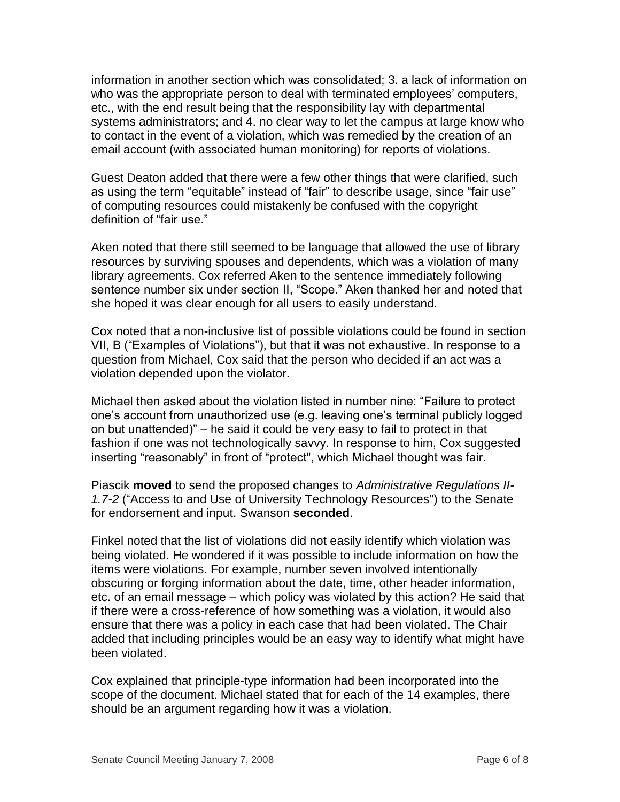information in another section which was consolidated; 3. a lack of information on who was the appropriate person to deal with terminated employees' computers, etc., with the end result being that the responsibility lay with departmental systems administrators; and 4. no clear way to let the campus at large know who to contact in the event of a violation, which was remedied by the creation of an email account (with associated human monitoring) for reports of violations.

Guest Deaton added that there were a few other things that were clarified, such as using the term "equitable" instead of "fair" to describe usage, since "fair use" of computing resources could mistakenly be confused with the copyright definition of "fair use."

Aken noted that there still seemed to be language that allowed the use of library resources by surviving spouses and dependents, which was a violation of many library agreements. Cox referred Aken to the sentence immediately following sentence number six under section II, "Scope." Aken thanked her and noted that she hoped it was clear enough for all users to easily understand.

Cox noted that a non-inclusive list of possible violations could be found in section VII, B ("Examples of Violations"), but that it was not exhaustive. In response to a question from Michael, Cox said that the person who decided if an act was a violation depended upon the violator.

Michael then asked about the violation listed in number nine: "Failure to protect one's account from unauthorized use (e.g. leaving one's terminal publicly logged on but unattended)" – he said it could be very easy to fail to protect in that fashion if one was not technologically savvy. In response to him, Cox suggested inserting "reasonably" in front of "protect", which Michael thought was fair.

Piascik **moved** to send the proposed changes to *Administrative Regulations II-1.7-2* ("Access to and Use of University Technology Resources") to the Senate for endorsement and input. Swanson **seconded**.

Finkel noted that the list of violations did not easily identify which violation was being violated. He wondered if it was possible to include information on how the items were violations. For example, number seven involved intentionally obscuring or forging information about the date, time, other header information, etc. of an email message – which policy was violated by this action? He said that if there were a cross-reference of how something was a violation, it would also ensure that there was a policy in each case that had been violated. The Chair added that including principles would be an easy way to identify what might have been violated.

Cox explained that principle-type information had been incorporated into the scope of the document. Michael stated that for each of the 14 examples, there should be an argument regarding how it was a violation.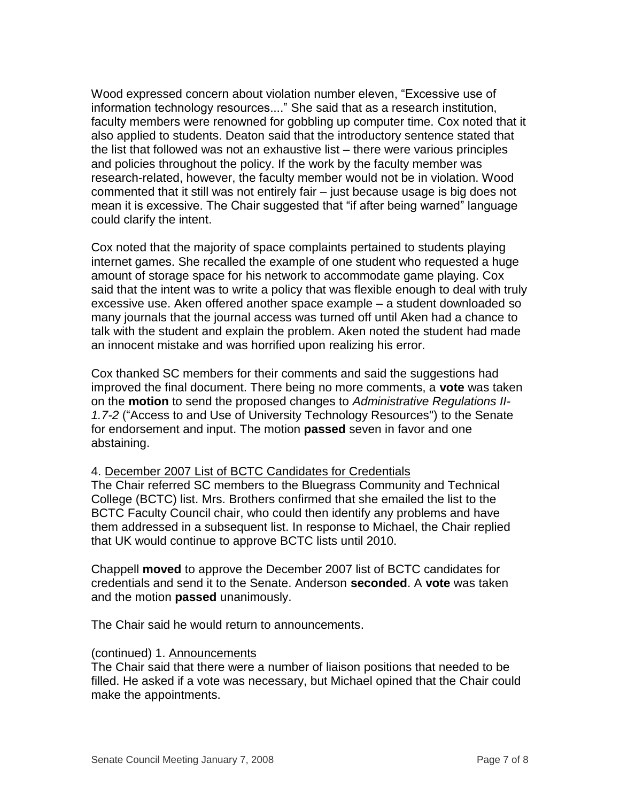Wood expressed concern about violation number eleven, "Excessive use of information technology resources...." She said that as a research institution, faculty members were renowned for gobbling up computer time. Cox noted that it also applied to students. Deaton said that the introductory sentence stated that the list that followed was not an exhaustive list – there were various principles and policies throughout the policy. If the work by the faculty member was research-related, however, the faculty member would not be in violation. Wood commented that it still was not entirely fair – just because usage is big does not mean it is excessive. The Chair suggested that "if after being warned" language could clarify the intent.

Cox noted that the majority of space complaints pertained to students playing internet games. She recalled the example of one student who requested a huge amount of storage space for his network to accommodate game playing. Cox said that the intent was to write a policy that was flexible enough to deal with truly excessive use. Aken offered another space example – a student downloaded so many journals that the journal access was turned off until Aken had a chance to talk with the student and explain the problem. Aken noted the student had made an innocent mistake and was horrified upon realizing his error.

Cox thanked SC members for their comments and said the suggestions had improved the final document. There being no more comments, a **vote** was taken on the **motion** to send the proposed changes to *Administrative Regulations II-1.7-2* ("Access to and Use of University Technology Resources") to the Senate for endorsement and input. The motion **passed** seven in favor and one abstaining.

# 4. December 2007 List of BCTC Candidates for Credentials

The Chair referred SC members to the Bluegrass Community and Technical College (BCTC) list. Mrs. Brothers confirmed that she emailed the list to the BCTC Faculty Council chair, who could then identify any problems and have them addressed in a subsequent list. In response to Michael, the Chair replied that UK would continue to approve BCTC lists until 2010.

Chappell **moved** to approve the December 2007 list of BCTC candidates for credentials and send it to the Senate. Anderson **seconded**. A **vote** was taken and the motion **passed** unanimously.

The Chair said he would return to announcements.

### (continued) 1. Announcements

The Chair said that there were a number of liaison positions that needed to be filled. He asked if a vote was necessary, but Michael opined that the Chair could make the appointments.